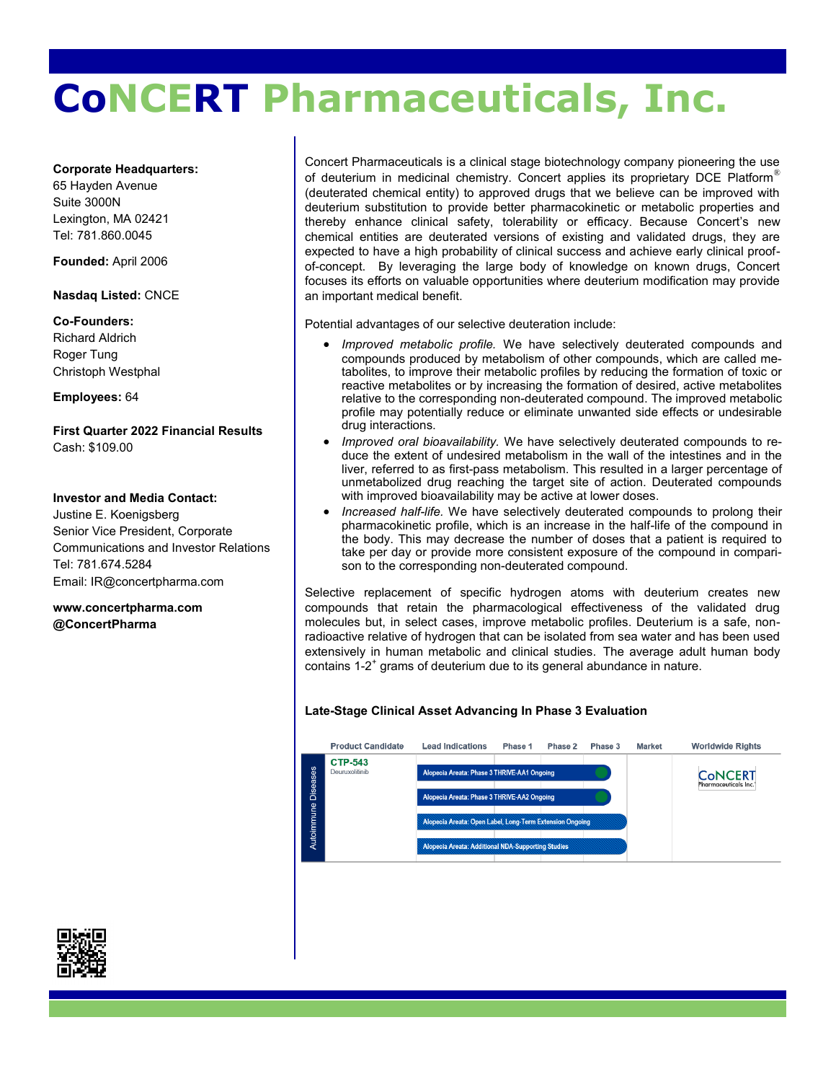# **CoNCERT Pharmaceuticals, Inc.**

#### **Corporate Headquarters:**

65 Hayden Avenue Suite 3000N Lexington, MA 02421 Tel: 781.860.0045

**Founded:** April 2006

#### **Nasdaq Listed:** CNCE

**Co-Founders:**  Richard Aldrich Roger Tung Christoph Westphal

#### **Employees:** 64

**First Quarter 2022 Financial Results** Cash: \$109.00

#### **Investor and Media Contact:**

Justine E. Koenigsberg Senior Vice President, Corporate Communications and Investor Relations Tel: 781.674.5284 Email: IR@concertpharma.com

**www.concertpharma.com @ConcertPharma** 

Concert Pharmaceuticals is a clinical stage biotechnology company pioneering the use of deuterium in medicinal chemistry. Concert applies its proprietary DCE Platform<sup>®</sup> (deuterated chemical entity) to approved drugs that we believe can be improved with deuterium substitution to provide better pharmacokinetic or metabolic properties and thereby enhance clinical safety, tolerability or efficacy. Because Concert's new chemical entities are deuterated versions of existing and validated drugs, they are expected to have a high probability of clinical success and achieve early clinical proofof-concept. By leveraging the large body of knowledge on known drugs, Concert focuses its efforts on valuable opportunities where deuterium modification may provide an important medical benefit.

Potential advantages of our selective deuteration include:

- *Improved metabolic profile.* We have selectively deuterated compounds and compounds produced by metabolism of other compounds, which are called metabolites, to improve their metabolic profiles by reducing the formation of toxic or reactive metabolites or by increasing the formation of desired, active metabolites relative to the corresponding non-deuterated compound. The improved metabolic profile may potentially reduce or eliminate unwanted side effects or undesirable drug interactions.
- *Improved oral bioavailability.* We have selectively deuterated compounds to reduce the extent of undesired metabolism in the wall of the intestines and in the liver, referred to as first-pass metabolism. This resulted in a larger percentage of unmetabolized drug reaching the target site of action. Deuterated compounds with improved bioavailability may be active at lower doses.
- *Increased half-life.* We have selectively deuterated compounds to prolong their pharmacokinetic profile, which is an increase in the half-life of the compound in the body. This may decrease the number of doses that a patient is required to take per day or provide more consistent exposure of the compound in comparison to the corresponding non-deuterated compound.

Selective replacement of specific hydrogen atoms with deuterium creates new compounds that retain the pharmacological effectiveness of the validated drug molecules but, in select cases, improve metabolic profiles. Deuterium is a safe, nonradioactive relative of hydrogen that can be isolated from sea water and has been used extensively in human metabolic and clinical studies. The average adult human body contains 1-2<sup>+</sup> grams of deuterium due to its general abundance in nature.

# **Late-Stage Clinical Asset Advancing In Phase 3 Evaluation**